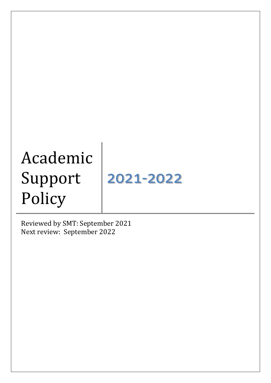# Academic Support Policy

2021-2022

Reviewed by SMT: September 2021 Next review: September 2022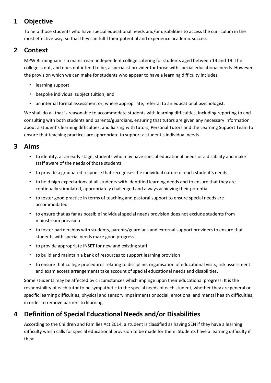## **1 Objective**

To help those students who have special educational needs and/or disabilities to access the curriculum in the most effective way, so that they can fulfil their potential and experience academic success.

## **2 Context**

MPW Birmingham is a mainstream independent college catering for students aged between 14 and 19. The college is not, and does not intend to be, a specialist provider for those with special educational needs. However, the provision which we can make for students who appear to have a learning difficulty includes:

- learning support;
- bespoke individual subject tuition; and
- an internal formal assessment or, where appropriate, referral to an educational psychologist.

We shall do all that is reasonable to accommodate students with learning difficulties, including reporting to and consulting with both students and parents/guardians, ensuring that tutors are given any necessary information about a student's learning difficulties, and liaising with tutors, Personal Tutors and the Learning Support Team to ensure that teaching practices are appropriate to support a student's individual needs.

### **3 Aims**

- to identify, at an early stage, students who may have special educational needs or a disability and make staff aware of the needs of those students
- to provide a graduated response that recognises the individual nature of each student's needs
- to hold high expectations of all students with identified learning needs and to ensure that they are continually stimulated, appropriately challenged and always achieving their potential
- to foster good practice in terms of teaching and pastoral support to ensure special needs are accommodated
- to ensure that as far as possible individual special needs provision does not exclude students from mainstream provision
- to foster partnerships with students, parents/guardians and external support providers to ensure that students with special needs make good progress
- to provide appropriate INSET for new and existing staff
- to build and maintain a bank of resources to support learning provision
- to ensure that college procedures relating to discipline, organisation of educational visits, risk assessment and exam access arrangements take account of special educational needs and disabilities.

Some students may be affected by circumstances which impinge upon their educational progress. It is the responsibility of each tutor to be sympathetic to the special needs of each student, whether they are general or specific learning difficulties, physical and sensory impairments or social, emotional and mental health difficulties, in order to remove barriers to learning.

# **4 Definition of Special Educational Needs and/or Disabilities**

According to the Children and Families Act 2014, a student is classified as having SEN if they have a learning difficulty which calls for special educational provision to be made for them. Students have a learning difficulty if they: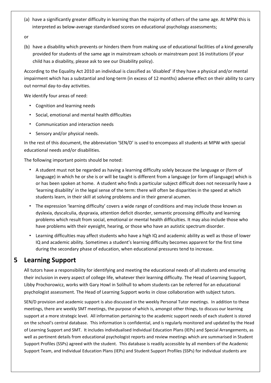(a) have a significantly greater difficulty in learning than the majority of others of the same age. At MPW this is interpreted as below-average standardised scores on educational psychology assessments;

or

(b) have a disability which prevents or hinders them from making use of educational facilities of a kind generally provided for students of the same age in mainstream schools or mainstream post 16 institutions (if your child has a disability, please ask to see our Disability policy).

According to the Equality Act 2010 an individual is classified as 'disabled' if they have a physical and/or mental impairment which has a substantial and long-term (in excess of 12 months) adverse effect on their ability to carry out normal day-to-day activities.

We identify four areas of need:

- Cognition and learning needs
- Social, emotional and mental health difficulties
- Communication and interaction needs
- Sensory and/or physical needs.

In the rest of this document, the abbreviation 'SEN/D' is used to encompass all students at MPW with special educational needs and/or disabilities.

The following important points should be noted:

- A student must not be regarded as having a learning difficulty solely because the language or (form of language) in which he or she is or will be taught is different from a language (or form of language) which is or has been spoken at home. A student who finds a particular subject difficult does not necessarily have a 'learning disability' in the legal sense of the term: there will often be disparities in the speed at which students learn, in their skill at solving problems and in their general acumen.
- The expression 'learning difficulty' covers a wide range of conditions and may include those known as dyslexia, dyscalculia, dyspraxia, attention deficit disorder, semantic processing difficulty and learning problems which result from social, emotional or mental health difficulties. It may also include those who have problems with their eyesight, hearing, or those who have an autistic spectrum disorder.
- Learning difficulties may affect students who have a high IQ and academic ability as well as those of lower IQ and academic ability. Sometimes a student's learning difficulty becomes apparent for the first time during the secondary phase of education, when educational pressures tend to increase.

## **5 Learning Support**

All tutors have a responsibility for identifying and meeting the educational needs of all students and ensuring their inclusion in every aspect of college life, whatever their learning difficulty. The Head of Learning Support, Libby Prochorowicz, works with Gary Howl in Solihull to whom students can be referred for an educational psychologist assessment. The Head of Learning Support works in close collaboration with subject tutors.

SEN/D provision and academic support is also discussed in the weekly Personal Tutor meetings. In addition to these meetings, there are weekly SMT meetings, the purpose of which is, amongst other things, to discuss our learning support at a more strategic level. All information pertaining to the academic support needs of each student is stored on the school's central database. This information is confidential, and is regularly monitored and updated by the Head of Learning Support and SMT. It includes individualised Individual Education Plans (IEPs) and Special Arrangements, as well as pertinent details from educational psychologist reports and review meetings which are summarised in Student Support Profiles (SSPs) agreed with the student. This database is readily accessible by all members of the Academic Support Team, and Individual Education Plans (IEPs) and Student Support Profiles (SSPs) for individual students are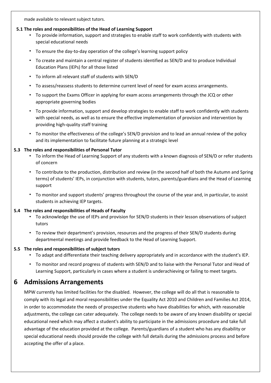made available to relevant subject tutors.

#### **5.1 The roles and responsibilities of the Head of Learning Support**

- To provide information, support and strategies to enable staff to work confidently with students with special educational needs
- To ensure the day-to-day operation of the college's learning support policy
- To create and maintain a central register of students identified as SEN/D and to produce Individual Education Plans (IEPs) for all those listed
- To inform all relevant staff of students with SEN/D
- To assess/reassess students to determine current level of need for exam access arrangements.
- To support the Exams Officer in applying for exam access arrangements through the JCQ or other appropriate governing bodies
- To provide information, support and develop strategies to enable staff to work confidently with students with special needs, as well as to ensure the effective implementation of provision and intervention by providing high-quality staff training
- To monitor the effectiveness of the college's SEN/D provision and to lead an annual review of the policy and its implementation to facilitate future planning at a strategic level

#### **5.3 The roles and responsibilities of Personal Tutor**

- To inform the Head of Learning Support of any students with a known diagnosis of SEN/D or refer students of concern
- To contribute to the production, distribution and review (in the second half of both the Autumn and Spring terms) of students' IEPs, in conjunction with students, tutors, parents/guardians and the Head of Learning support
- To monitor and support students' progress throughout the course of the year and, in particular, to assist students in achieving IEP targets.

#### **5.4 The roles and responsibilities of Heads of Faculty**

- To acknowledge the use of IEPs and provision for SEN/D students in their lesson observations of subject tutors
- To review their department's provision, resources and the progress of their SEN/D students during departmental meetings and provide feedback to the Head of Learning Support.

#### **5.5 The roles and responsibilities of subject tutors**

- To adapt and differentiate their teaching delivery appropriately and in accordance with the student's IEP.
- To monitor and record progress of students with SEN/D and to liaise with the Personal Tutor and Head of Learning Support, particularly in cases where a student is underachieving or failing to meet targets.

## **6 Admissions Arrangements**

MPW currently has limited facilities for the disabled. However, the college will do all that is reasonable to comply with its legal and moral responsibilities under the Equality Act 2010 and Children and Families Act 2014, in order to accommodate the needs of prospective students who have disabilities for which, with reasonable adjustments, the college can cater adequately. The college needs to be aware of any known disability or special educational need which may affect a student's ability to participate in the admissions procedure and take full advantage of the education provided at the college. Parents/guardians of a student who has any disability or special educational needs should provide the college with full details during the admissions process and before accepting the offer of a place.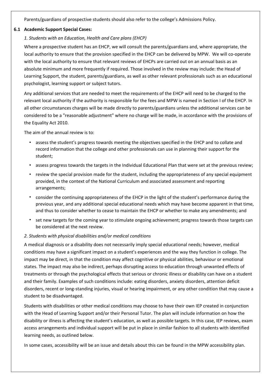Parents/guardians of prospective students should also refer to the college's Admissions Policy.

#### **6.1 Academic Support Special Cases:**

#### *1. Students with an Education, Health and Care plans (EHCP)*

Where a prospective student has an EHCP, we will consult the parents/guardians and, where appropriate, the local authority to ensure that the provision specified in the EHCP can be delivered by MPW. We will co-operate with the local authority to ensure that relevant reviews of EHCPs are carried out on an annual basis as an absolute minimum and more frequently if required. Those involved in the review may include: the Head of Learning Support, the student, parents/guardians, as well as other relevant professionals such as an educational psychologist, learning support or subject tutors.

Any additional services that are needed to meet the requirements of the EHCP will need to be charged to the relevant local authority if the authority is responsible for the fees and MPW is named in Section I of the EHCP. In all other circumstances charges will be made directly to parents/guardians unless the additional services can be considered to be a "reasonable adjustment" where no charge will be made, in accordance with the provisions of the Equality Act 2010.

The aim of the annual review is to:

- assess the student's progress towards meeting the objectives specified in the EHCP and to collate and record information that the college and other professionals can use in planning their support for the student;
- assess progress towards the targets in the Individual Educational Plan that were set at the previous review;
- review the special provision made for the student, including the appropriateness of any special equipment provided, in the context of the National Curriculum and associated assessment and reporting arrangements;
- consider the continuing appropriateness of the EHCP in the light of the student's performance during the previous year, and any additional special educational needs which may have become apparent in that time, and thus to consider whether to cease to maintain the EHCP or whether to make any amendments; and
- set new targets for the coming year to stimulate ongoing achievement; progress towards those targets can be considered at the next review.

#### *2. Students with physical disabilities and/or medical conditions*

A medical diagnosis or a disability does not necessarily imply special educational needs; however, medical conditions may have a significant impact on a student's experiences and the way they function in college. The impact may be direct, in that the condition may affect cognitive or physical abilities, behaviour or emotional states. The impact may also be indirect, perhaps disrupting access to education through unwanted effects of treatments or through the psychological effects that serious or chronic illness or disability can have on a student and their family. Examples of such conditions include: eating disorders, anxiety disorders, attention deficit disorders, recent or long-standing injuries, visual or hearing impairment, or any other condition that may cause a student to be disadvantaged.

Students with disabilities or other medical conditions may choose to have their own IEP created in conjunction with the Head of Learning Support and/or their Personal Tutor. The plan will include information on how the disability or illness is affecting the student's education, as well as possible targets. In this case, IEP reviews, exam access arrangements and individual support will be put in place in similar fashion to all students with identified learning needs, as outlined below.

In some cases, accessibility will be an issue and details about this can be found in the MPW accessibility plan.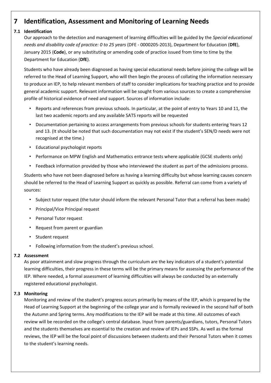## **7 Identification, Assessment and Monitoring of Learning Needs**

#### **7.1 Identification**

Our approach to the detection and management of learning difficulties will be guided by the *Special educational needs and disability code of practice: 0 to 25 years* (DFE - 0000205-2013), Department for Education (**DfE**), January 2015 (**Code**), or any substituting or amending code of practice issued from time to time by the Department for Education (**DfE**).

Students who have already been diagnosed as having special educational needs before joining the college will be referred to the Head of Learning Support, who will then begin the process of collating the information necessary to produce an IEP, to help relevant members of staff to consider implications for teaching practice and to provide general academic support. Relevant information will be sought from various sources to create a comprehensive profile of historical evidence of need and support. Sources of information include:

- Reports and references from previous schools. In particular, at the point of entry to Years 10 and 11, the last two academic reports and any available SATS reports will be requested
- Documentation pertaining to access arrangements from previous schools for students entering Years 12 and 13. (It should be noted that such documentation may not exist if the student's SEN/D needs were not recognised at the time.)
- Educational psychologist reports
- Performance on MPW English and Mathematics entrance tests where applicable (GCSE students only)
- Feedback information provided by those who interviewed the student as part of the admissions process.

Students who have not been diagnosed before as having a learning difficulty but whose learning causes concern should be referred to the Head of Learning Support as quickly as possible. Referral can come from a variety of sources:

- Subject tutor request (the tutor should inform the relevant Personal Tutor that a referral has been made)
- Principal/Vice Principal request
- Personal Tutor request
- Request from parent or guardian
- Student request
- Following information from the student's previous school.

#### **7.2 Assessment**

As poor attainment and slow progress through the curriculum are the key indicators of a student's potential learning difficulties, their progress in these terms will be the primary means for assessing the performance of the IEP. Where needed, a formal assessment of learning difficulties will always be conducted by an externally registered educational psychologist.

#### **7.3 Monitoring**

Monitoring and review of the student's progress occurs primarily by means of the IEP, which is prepared by the Head of Learning Support at the beginning of the college year and is formally reviewed in the second half of both the Autumn and Spring terms. Any modifications to the IEP will be made at this time. All outcomes of each review will be recorded on the college's central database. Input from parents/guardians, tutors, Personal Tutors and the students themselves are essential to the creation and review of IEPs and SSPs. As well as the formal reviews, the IEP will be the focal point of discussions between students and their Personal Tutors when it comes to the student's learning needs.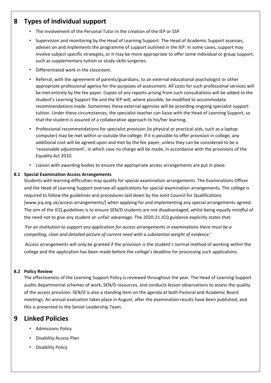## **8 Types of individual support**

- The involvement of the Personal Tutor in the creation of the IEP or SSP
- Supervision and monitoring by the Head of Learning Support. The Head of Academic Support assesses, advises on and implements the programme of support outlined in the IEP. In some cases, support may involve subject specific strategies, or it may be more appropriate to offer some individual or group support, such as supplementary tuition or study-skills surgeries.
- Differentiated work in the classroom.
- Referral, with the agreement of parents/guardians, to an external educational psychologist or other appropriate professional agency for the purposes of assessment. All costs for such professional services will be met entirely by the fee payer. Copies of any reports arising from such consultations will be added to the student's Learning Support file and the IEP will, where possible, be modified to accommodate recommendations made. Sometimes these external agencies will be providing ongoing specialist support tuition. Under these circumstances, the specialist teacher can liaise with the Head of Learning Support, so that the student is assured of a collaborative approach to his/her learning.
- Professional recommendations for specialist provision (ie physical or practical aids, such as a laptop computer) may be met within or outside the college. If it is possible to offer provision in college, any additional cost will be agreed upon and met by the fee payer, unless they can be considered to be a 'reasonable adjustment', in which case no charge will be made, in accordance with the provisions of the Equality Act 2010.
- Liaison with awarding bodies to ensure the appropriate access arrangements are put in place.

#### **8.1 Special Examination Access Arrangements**

Students with learning difficulties may qualify for special examination arrangements. The Examinations Officer and the Head of Learning Support oversee all applications for special examination arrangements. The college is required to follow the guidelines and procedures laid down by the Joint Council for Qualifications [www.jcq.org.uk/access-arrangements/] when applying for and implementing any special arrangements agreed. The aim of the JCQ guidelines is to ensure SEN/D students are not disadvantaged, whilst being equally mindful of the need not to give any student an unfair advantage. The 2020-21 JCQ guidance explicitly states that*:*

*'For an institution to support any application for access arrangements in examinations there must be a compelling, clear and detailed picture of current need with a substantial weight of evidence*.'

Access arrangements will only be granted if the provision is the student's normal method of working within the college and the application has been made before the college's deadline for processing such applications.

#### **8.2 Policy Review**

The effectiveness of the Learning Support Policy is reviewed throughout the year. The Head of Learning Support audits departmental schemes of work, SEN/D resources, and conducts lesson observations to assess the quality of the access provision. SEN/D is also a standing item on the agenda at both Pastoral and Academic Board meetings. An annual evaluation takes place in August, after the examination results have been published, and this is presented to the Senior Leadership Team.

## **9 Linked Policies**

- Admissions Policy
- Disability Access Plan
- Disability Policy